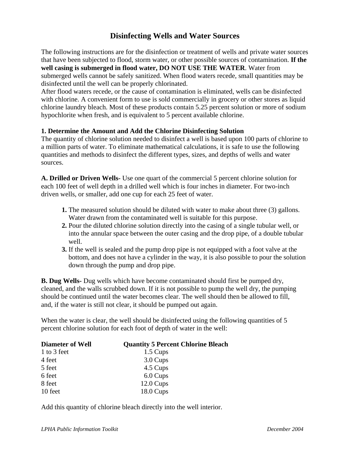## **Disinfecting Wells and Water Sources**

The following instructions are for the disinfection or treatment of wells and private water sources that have been subjected to flood, storm water, or other possible sources of contamination. **If the well casing is submerged in flood water, DO NOT USE THE WATER**. Water from submerged wells cannot be safely sanitized. When flood waters recede, small quantities may be disinfected until the well can be properly chlorinated.

After flood waters recede, or the cause of contamination is eliminated, wells can be disinfected with chlorine. A convenient form to use is sold commercially in grocery or other stores as liquid chlorine laundry bleach. Most of these products contain 5.25 percent solution or more of sodium hypochlorite when fresh, and is equivalent to 5 percent available chlorine.

## **1. Determine the Amount and Add the Chlorine Disinfecting Solution**

The quantity of chlorine solution needed to disinfect a well is based upon 100 parts of chlorine to a million parts of water. To eliminate mathematical calculations, it is safe to use the following quantities and methods to disinfect the different types, sizes, and depths of wells and water sources.

**A. Drilled or Driven Wells-** Use one quart of the commercial 5 percent chlorine solution for each 100 feet of well depth in a drilled well which is four inches in diameter. For two-inch driven wells, or smaller, add one cup for each 25 feet of water.

- **1.** The measured solution should be diluted with water to make about three (3) gallons. Water drawn from the contaminated well is suitable for this purpose.
- **2.** Pour the diluted chlorine solution directly into the casing of a single tubular well, or into the annular space between the outer casing and the drop pipe, of a double tubular well.
- **3.** If the well is sealed and the pump drop pipe is not equipped with a foot valve at the bottom, and does not have a cylinder in the way, it is also possible to pour the solution down through the pump and drop pipe.

**B. Dug Wells-** Dug wells which have become contaminated should first be pumped dry, cleaned, and the walls scrubbed down. If it is not possible to pump the well dry, the pumping should be continued until the water becomes clear. The well should then be allowed to fill, and, if the water is still not clear, it should be pumped out again.

When the water is clear, the well should be disinfected using the following quantities of 5 percent chlorine solution for each foot of depth of water in the well:

| <b>Diameter of Well</b> | <b>Quantity 5 Percent Chlorine Bleach</b> |
|-------------------------|-------------------------------------------|
| 1 to 3 feet             | 1.5 Cups                                  |
| 4 feet                  | 3.0 Cups                                  |
| 5 feet                  | 4.5 Cups                                  |
| 6 feet                  | 6.0 Cups                                  |
| 8 feet                  | $12.0 \text{ Cups}$                       |
| 10 feet                 | $18.0 \text{ Cups}$                       |

Add this quantity of chlorine bleach directly into the well interior.